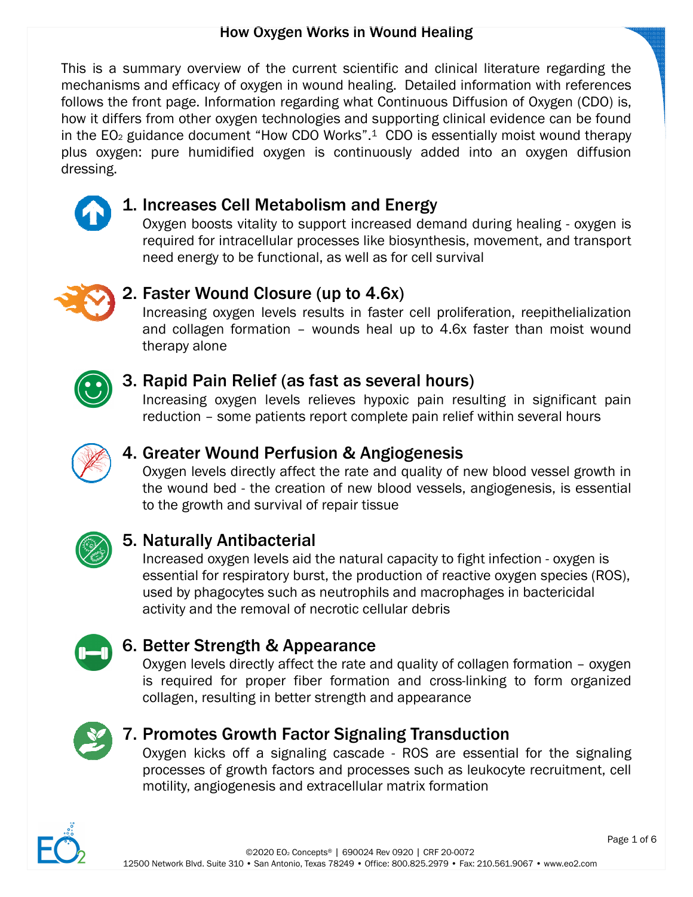This is a summary overview of the current scientific and clinical literature regarding the mechanisms and efficacy of oxygen in wound healing. Detailed information with references follows the front page. Information regarding what Continuous Diffusion of Oxygen (CDO) is,<br>how it differs from other oxygen technologies and supporting clinical evidence can be found how it differs from other oxygen technologies and supporting clinical evidence can be found in the  $EO<sub>2</sub>$  guidance document "How CDO Works".<sup>1</sup> CDO is essentially moist wound therapy plus oxygen: pure humidified oxygen is continuously added into an oxygen diffusion dressing.



### 1. Increases Cell Metabolism and Energy Energy

Oxygen boosts vitality to support increased demand during healing - oxygen is required for intracellular processes like biosynthesis, movement, and transport<br>need energy to be functional, as well as for cell survival<br>**Faster Wound Closure (up to 4.6x)**<br>Increasing oxygen levels results in faster cell need energy to be functional, as well as for cell survival



#### 2. Faster Wound Closure (up to 4.6x)

Increasing oxygen levels results in faster cell proliferation, and collagen formation - wounds heal up to 4.6x faster than moist wound therapy alone



#### 3. Rapid Pain Relief Relief (as fast as several hours)

Increasing oxygen levels relieves hypoxic pain resulting in significant pain reduction – some patients report complete pain relief within several hours



#### 4. Greater Wound Perfusion & Angiogenesis

Oxygen levels directly affect the rate and quality of new blood vessel growth in the wound bed - the creation of new blood vessels, angiogenesis, is essential to the growth and survival of repair tissue ctly affect the rate and quality of new blood vessel growth<br>he creation of new blood vessels, angiogenesis, is essenti<br>survival of repair tissue wounds heal up to 4.6x faster than moist wou<br> **fast as several hours)**<br>
relieves hypoxic pain resulting in significant p<br>
report complete pain relief within several hours<br> **sion & Angiogenesis**<br>
xt the rate and quality of



#### 5. Naturally Antibacterial acterial

Increased oxygen levels aid the natural capacity to fight infection essential for respiratory burst, the production of reactive oxygen s<br>used by phagocytes such as neutrophils and macrophages in bac<br>activity and the remova essential for respiratory burst, the production of reactive oxygen species (ROS), used by phagocytes such as neutrophils and macrophages in bactericidal activity and the removal of necrotic cellular debris

### 6. Better Strength & Appearance &

Oxygen levels directly affect the rate and quality of collagen formation - oxygen is required for proper fiber formation and cross-linking to form organized collagen, resulting in better strength and appearance is required for proper fiber formation and cross-linking to form organized<br>collagen, resulting in better strength and appearance<br>**Promotes Growth Factor Signaling Transduction**<br>Oxygen kicks off a signaling cascade - ROS ar



### 7. Promotes Growth Factor Signaling Transduction Transduction

processes of growth factors and processes such as leukocyte recruitment, cell motility, angiogenesis and extracellular matrix formation motility, angiogenesis and extracellular matrix formation

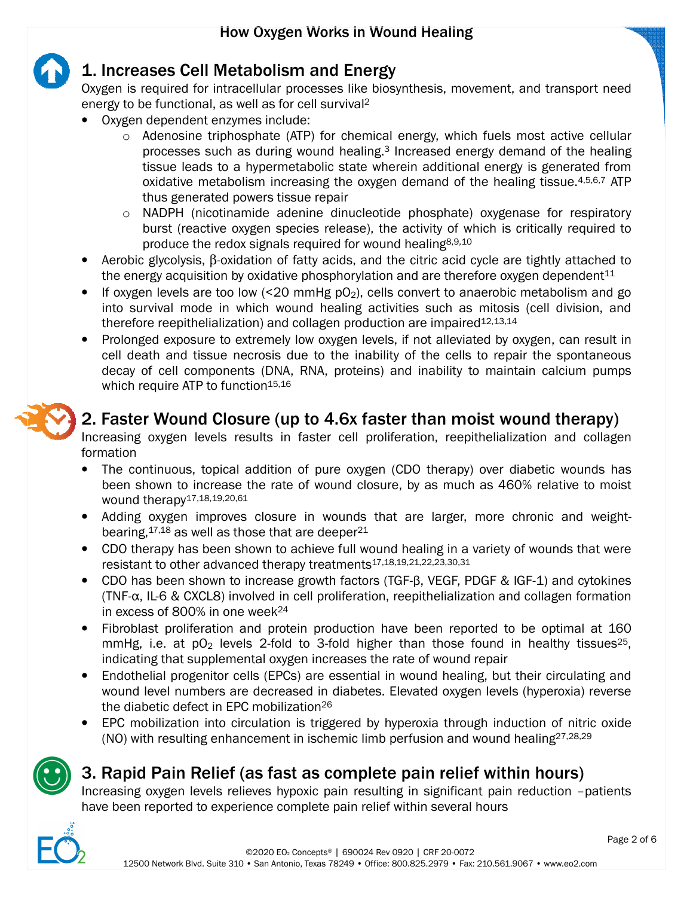

### 1. Increases Cell Metabolism and Energy

Oxygen is required for intracellular processes like biosynthesis, movement, and transport need energy to be functional, as well as for cell survival<sup>2</sup>

- Oxygen dependent enzymes include:
	- o Adenosine triphosphate (ATP) for chemical energy, which fuels most active cellular Adenosine triphosphate (ATP) for chemical energy, which fuels most active cellular<br>processes such as during wound healing.<sup>3</sup> Increased energy demand of the healing tissue leads to a hypermetabolic state wherein additional energy is generated from oxidative metabolism increasing the oxygen demand of the healing tissue.<sup>4,5,6,7</sup> ATP thus generated powers tissue repair oxidative metabolism increasing the oxygen demand of the healing tissue.  $4,5,6,7$  ATP<br>thus generated powers tissue repair<br> $\circ$  NADPH (nicotinamide adenine dinucleotide phosphate) oxygenase for respiratory
	- burst (reactive oxygen species release), the activity of which is critically required to produce the redox signals required for wound healing<sup>8,9,10</sup>
- Aerobic glycolysis, β-oxidation of fatty acids, and the citric acid cycle are tightly attached to the energy acquisition by oxidative phosphorylation and are therefore oxygen dependent<sup>11</sup><br>• If oxygen levels are too lo the energy acquisition by oxidative phosphorylation and are therefore oxygen dependent $11$
- If oxygen levels are too low  $\leq 20$  mmHg pO<sub>2</sub>), cells convert to anaerobic metabolism and go into survival mode in which wound healing activities such as mitosis (cell division, and<br>therefore reepithelialization) and collagen production are impaired<sup>12,13,14</sup> therefore reepithelialization) and collagen production are impaired<sup>12,13,14</sup> to anaerobic metabolism and go<br>th as mitosis (cell division, and<br>paired<sup>12,13,14</sup><br>lleviated by oxygen, can result in<br>cells to repair the spontaneous
- Prolonged exposure to extremely low oxygen levels, if not alleviated by oxygen, can result in cell death and tissue necrosis due to the inability of the cells to repair the spontane decay of cell components (DNA, RNA, proteins) and inability to maintain calcium pumps which require ATP to function 15,16 Prolonged exposure to extremely low oxygen levels, if not alleviated by oxygen, can result<br>cell death and tissue necrosis due to the inability of the cells to repair the spontaneo<br>decay of cell components (DNA, RNA, protei



### 2. Faster Wound Closure (up to 4.6x faster than moist wound therapy)

Increasing oxygen levels results in faster cell proliferation, reepithelialization and collagen formation

- The continuous, topical addition of pure oxygen (CDO therapy) over diabetic wounds has been shown to increase the rate of wound closure, by as much as 460% relative to moist wound therapy17,18,19,20,61
- Adding oxygen improves closure in wounds that are larger, more chronic and weightbearing, $17,18$  as well as those that are deeper<sup>21</sup>
- CDO therapy has been shown to achieve full wound healing in a variety of wounds that were resistant to other advanced therapy treatments<sup>17,18,19,21,22,23,30,31</sup>
- CDO has been shown to increase growth factors (TGF-β, VEGF, PDGF & IGF-1) and cytokines in excess of 800% in one week 24
- (TNF- $\alpha$ , IL-6 & CXCL8) involved in cell proliferation, reepithelialization and collagen formation<br>in excess of 800% in one week<sup>24</sup><br>Fibroblast proliferation and protein production have been reported to be optimal at 160 • Fibroblast proliferation and protein production have been reported to be optimal at  $160$  mmHg, i.e. at  $pO_2$  levels 2-fold to 3-fold higher than those found in healthy tissues<sup>25</sup>, mmHg, i.e. at  $pO<sub>2</sub>$  levels 2-fold to 3-fold higher than those found in healthy tissues<sup>25</sup>. indicating that supplemental oxygen increases the rate of wound repair
- Endothelial progenitor cells (EPCs) are essential in wound healing, but their circulating and indicating that supplemental oxygen increases the rate of wound repair<br>Endothelial progenitor cells (EPCs) are essential in wound healing, but their circulating and<br>wound level numbers are decreased in diabetes. Elevated o the diabetic defect in EPC mobilization<sup>26</sup>
- EPC mobilization into circulation is triggered by hyperoxia through induction of nitric oxide (NO) with resulting enhancement in ischemic limb perfusion and wound healing<sup>27,28,29</sup>



# 3. Rapid Pain Relief (as fast as complete pain relief within hours)

Increasing oxygen levels relieves hypoxic pain resulting in significant pain reduction -patients<br>have been reported to experience complete pain relief within several hours have been reported to experience complete pain relief within several hours

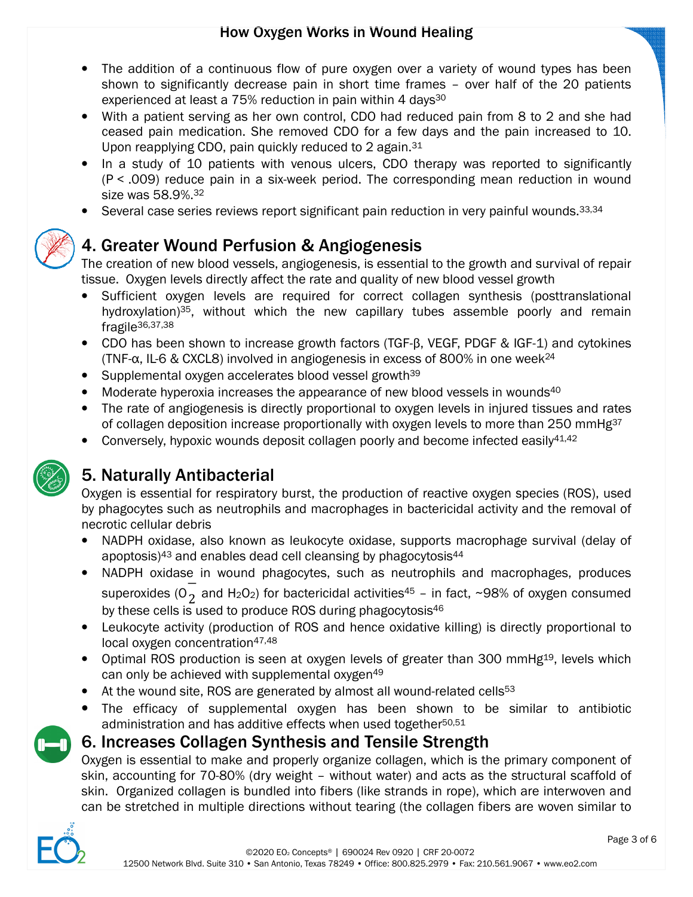

- With a patient serving as her own control, CDO had reduced pain from 8 to 2 and she had ceased pain medication. She removed CDO for a few days and the pain increased to 10. Upon reapplying CDO, pain quickly reduced to 2 again.<sup>31</sup>
- In a study of 10 patients with venous ulcers, CDO therapy was reported to significantly (P < .009) reduce pain in a six-week period. The corresponding mean reduction in wound size was 58.9%.<sup>32</sup> removed CDO for a few days and the pain increased to 10.<br>ickly reduced to 2 again.<sup>31</sup><br>th venous ulcers, CDO therapy was reported to significantly<br>ix-week period. The corresponding mean reduction in wound
- Several case series reviews report significant pain reduction in very painful wounds. 33,34



## 4. Greater Wound Perfusion & Angiogenesis

The creation of new blood vessels, angiogenesis, is essential to the growth and survival of repair tissue. Oxygen levels directly affect the rate and quality of new blood vessel growth The creation of new blood vessels, angiogenesis, is essential to the growth and survival of repair<br>tissue. Oxygen levels directly affect the rate and quality of new blood vessel growth<br>● Sufficient oxygen levels ar

- Sufficient oxygen levels are required for correct collagen synthesis (posttranslational hydroxylation)<sup>35</sup>, without which the new capillary tubes assemble poorly and remain fragile<sup>36,37,38</sup><br>CDO has been shown to increase fragile36,37,38
- CDO has been shown to increase growth factors (TGF-B, VEGF, PDGF & IGF-1) and cytokines (TNF- $\alpha$ , IL-6 & CXCL8) involved in angiogenesis in excess of 800% in one week<sup>24</sup>
- Supplemental oxygen accelerates blood vessel growth<sup>39</sup>
- Moderate hyperoxia increases the appearance of new blood vessels in wounds<sup>40</sup>
- The rate of angiogenesis is directly proportional to oxygen levels in injured tissues and rates of collagen deposition increase proportionally with oxygen levels to more than 250 mmHg<sup>37</sup> • The rate of angiogenesis is directly proportional to oxygen levels in injured tissues of collagen deposition increase proportionally with oxygen levels to more than 250 i<br>Conversely, hypoxic wounds deposit collagen poorl
- 



# 5. Naturally Antibacterial Naturally Antibacterial

Oxygen is essential for respiratory burst, the production of reactive oxygen species (ROS), used by phagocytes such as neutrophils and macrophages in bactericidal activity and the removal of necrotic cellular debris ssential for respiratory burst, the production of reactive oxygen species (ROS), use<br>tes such as neutrophils and macrophages in bactericidal activity and the removal<br>lular debris<br>oxidase, also known as leukocyte oxidase, s

- NADPH oxidase, also known as leukocyte oxidase, supports macrophage survival (delay of apoptosis)<sup>43</sup> and enables dead cell cleansing by phagocytosis<sup>44</sup>
- NADPH oxidase in wound phagocytes, such as neutrophils and macrophages, produces NADPH oxidase in wound phagocytes, such as neutrophils and macrophages, produces<br>superoxides (O<sub>2</sub> and H<sub>2</sub>O<sub>2</sub>) for bactericidal activities<sup>45</sup> – in fact, ~98% of oxygen consumed by these cells is used to produce ROS during phagocytosis<sup>46</sup>
- Leukocyte activity (production of ROS and hence oxidative killing) is directly proportional to local oxygen concentration<sup>47,48</sup>
- Optimal ROS production is seen at oxygen levels of greater than 300 mmHg<sup>19</sup>, levels which can only be achieved with supplemental oxygen<sup>49</sup> can only be achieved with supplemental oxygen<sup>49</sup>
- At the wound site, ROS are generated by almost all wound-related cells<sup>53</sup>
- The efficacy of supplemental oxygen has been shown to be similar to antibiotic administration and has additive effects when used together 50,51



### 6. Increases Collagen Synthesis and Tensile Strength

Oxygen is essential to make and properly organize collagen, which is the primary component of Oxygen is essential to make and properly organize collagen, which is the primary component of<br>skin, accounting for 70-80% (dry weight - without water) and acts as the structural scaffold of skin. Organized collagen is bundled into fibers (like strands in rope), which are interwoven and<br>can be stretched in multiple directions without tearing (the collagen fibers are woven similar to can be stretched in multiple directions without tearing (the collagen fibers are woven similar to

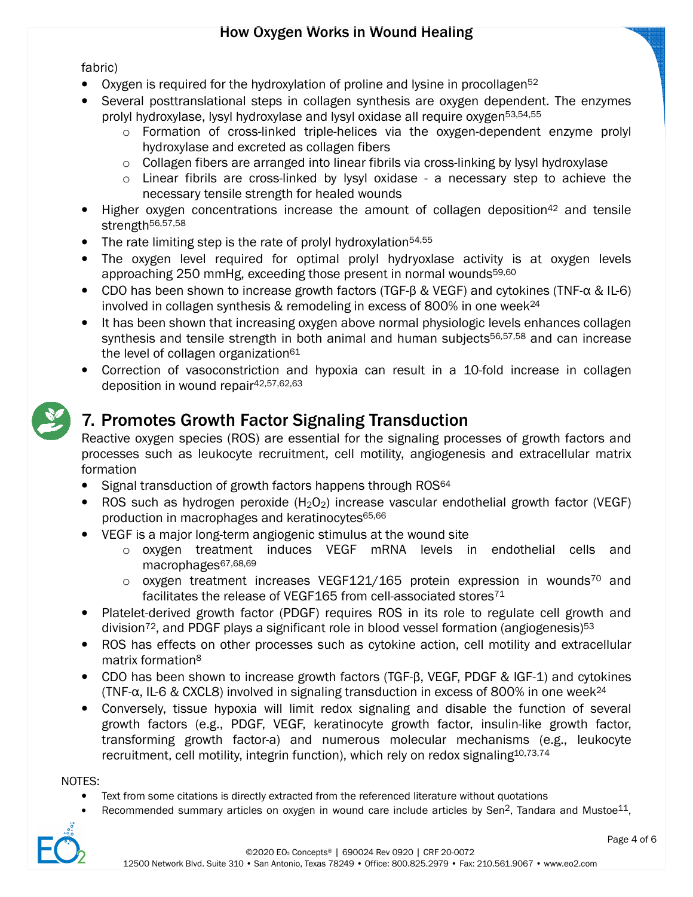fabric)

- 
- Oxygen is required for the hydroxylation of proline and lysine in procollagen<sup>52</sup><br>Several posttranslational steps in collagen synthesis are oxygen depender<br>prolyl hydroxylase, lysyl hydroxylase and lysyl oxidase all req • Several posttranslational steps in collagen synthesis are oxygen dependent. The enzymes prolyl hydroxylase, lysyl hydroxylase and lysyl oxidase all require oxygen<sup>53,54,55</sup>
	- o Formation of cross-linked triple-helices via the oxygen-dependent enzyme prolyl hydroxylase and excreted as collagen fibers o Formation of cross-linked triple-helices via the oxygen-dependent enzyme pr<br>hydroxylase and excreted as collagen fibers<br>o Collagen fibers are arranged into linear fibrils via cross-linking by lysyl hydroxylase
	-
	- o Linear fibrils are cross-linked by lysyl oxidase a necessary step to achieve the necessary tensile strength for healed wounds
- Higher oxygen concentrations increase the amount of collagen deposition<sup>42</sup> and tensile strength<sup>56,57,58</sup> • Higher oxygen concentrations increase the amount of out-<br>strength<sup>56,57,58</sup><br>• The rate limiting step is the rate of prolyl hydroxylation<sup>54,55</sup>
- 
- The oxygen level required for optimal prolyl hydryoxlase activity is at oxygen levels approaching 250 mmHg, exceeding those present in normal wounds<sup>59,60</sup> approaching 250 mmHg, exceeding those present in normal wounds<sup>59,60</sup>
- CDO has been shown to increase growth factors (TGF-β & VEGF) and cytokines (TNF-α & IL-6) involved in collagen synthesis & remodeling in excess of 800% in one week<sup>24</sup>
- It has been shown that increasing oxygen above normal physiologic levels enhances collagen synthesis and tensile strength in both animal and human subjects<sup>56,57,58</sup> and can increase the level of collagen organization<sup>61</sup>
- Correction of vasoconstriction and hypoxia can result in a 10-fold increase in collagen deposition in wound repair<sup>4</sup> 42,57,62,63

# 7. Promotes Growth Factor Signaling Transduction Promotes Growth

Reactive oxygen species (ROS) are essential for the signaling processes of growth factors and processes such as leukocyte recruitment, cell motility, angiogenesis and extracellular formation oxygen species (ROS) are essential for the signaling processes of growth factors<br>s such as leukocyte recruitment, cell motility, angiogenesis and extracellular ma<br>l transduction of growth factors happens through ROS<sup>64</sup> fold increase in collagen<br>ses of growth factors and<br>s and extracellular matrix

- Signal transduction of growth factors happens through ROS<sup>64</sup>
- ROS such as hydrogen peroxide  $(H_2O_2)$  increase vascular endothelial growth factor (VEGF) production in macrophages and keratinocytes<sup>65,66</sup>
- VEGF is a major long-term angiogenic stimulus at the wound site
	- o oxygen treatment induces VEGF mRNA levels in endothelial cells and macrophages67,68,69
	- $\circ$  oxygen treatment increases VEGF121/165 protein expression in wounds<sup>70</sup> and oxygen treatment induces VEGF mRNA levels in enomacrophages<sup>67,68,69</sup><br>oxygen treatment increases VEGF121/165 protein expression<br>facilitates the release of VEGF165 from cell-associated stores<sup>71</sup>
- Platelet-derived growth factor (PDGF) requires ROS in its role to regulate cell growth and division<sup>72</sup>, and PDGF plays a significant role in blood vessel formation (angiogenesis) 53
- ROS has effects on other processes such as cytokine action, cell motility and extracellular matrix formation<sup>8</sup> ed growth factor (PDGF) requires ROS in its role to regulate cell<br>d PDGF plays a significant role in blood vessel formation (angiogene<br>ects on other processes such as cytokine action, cell motility and (<br>tion<sup>8</sup><br>n shown t
- CDO has been shown to increase growth factors (TGF-B, VEGF, PDGF & IGF-1) and cytokines (TNF- $\alpha$ , IL-6 & CXCL8) involved in signaling transduction in excess of 800% in one week<sup>24</sup>
- Conversely, tissue hypoxia will limit redox signaling and disable the function of several growth factors (e.g., PDGF, VEGF, keratinocyte growth factor, insulin-like growth factor, transforming growth factor-a) and numero growth factors (e.g., PDGF, VEGF, keratinocyte growth factor, insulin-like growth factor, transforming growth factor-a) and numerous molecular mechanisms (e.g., recruitment, cell motility, integrin function), which rely on redox signaling<sup>10,73,74</sup>

#### NOTES:

- Text from some citations is directly extracted from the referenced literature without quotations
- Recommended summary articles on oxygen in wound care include articles by Sen<sup>2</sup>, Tandara and Mustoe<sup>11</sup>,

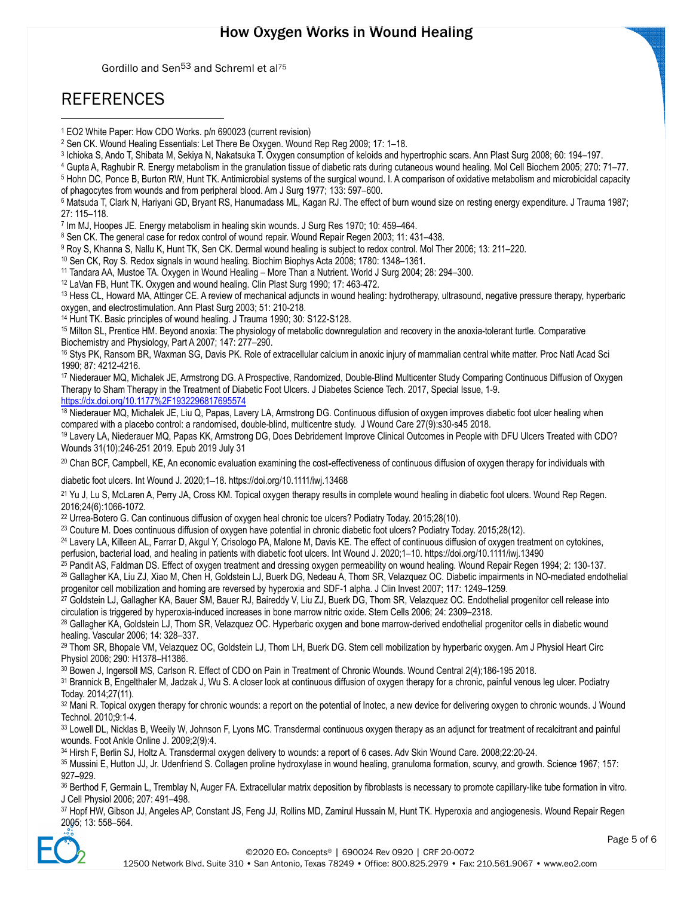Gordillo and Sen<sup>53</sup> and Schreml et al<sup>75</sup>

### REFERENCES

1

7 Im MJ, Hoopes JE. Energy metabolism in healing skin wounds. J Surg Res 1970; 10: 459–464.

8 Sen CK. The general case for redox control of wound repair. Wound Repair Regen 2003; 11: 431–438.

<sup>10</sup> Sen CK, Roy S. Redox signals in wound healing. Biochim Biophys Acta 2008; 1780: 1348–1361.

<sup>11</sup> Tandara AA, Mustoe TA. Oxygen in Wound Healing – More Than a Nutrient. World J Surg 2004; 28: 294–300.

<sup>12</sup> LaVan FB, Hunt TK. Oxygen and wound healing. Clin Plast Surg 1990; 17: 463-472.

<sup>13</sup> Hess CL, Howard MA, Attinger CE. A review of mechanical adjuncts in wound healing: hydrotherapy, ultrasound, negative pressure therapy, hyperbaric oxygen, and electrostimulation. Ann Plast Surg 2003; 51: 210-218.

<sup>14</sup> Hunt TK. Basic principles of wound healing. J Trauma 1990; 30: S122-S128.

<sup>15</sup> Milton SL, Prentice HM. Beyond anoxia: The physiology of metabolic downregulation and recovery in the anoxia-tolerant turtle. Comparative Biochemistry and Physiology, Part A 2007; 147: 277–290.

<sup>16</sup> Stys PK, Ransom BR, Waxman SG, Davis PK. Role of extracellular calcium in anoxic injury of mammalian central white matter. Proc Natl Acad Sci 1990; 87: 4212-4216.

<sup>17</sup> Niederauer MQ, Michalek JE, Armstrong DG. A Prospective, Randomized, Double-Blind Multicenter Study Comparing Continuous Diffusion of Oxygen Therapy to Sham Therapy in the Treatment of Diabetic Foot Ulcers. J Diabetes Science Tech. 2017, Special Issue, 1-9. https://dx.doi.org/10.1177%2F1932296817695574

<sup>18</sup> Niederauer MQ, Michalek JE, Liu Q, Papas, Lavery LA, Armstrong DG. Continuous diffusion of oxygen improves diabetic foot ulcer healing when compared with a placebo control: a randomised, double-blind, multicentre study. J Wound Care 27(9):s30-s45 2018.

<sup>19</sup> Lavery LA, Niederauer MQ, Papas KK, Armstrong DG, Does Debridement Improve Clinical Outcomes in People with DFU Ulcers Treated with CDO? Wounds 31(10):246-251 2019. Epub 2019 July 31

<sup>20</sup> Chan BCF, Campbell, KE, An economic evaluation examining the cost-effectiveness of continuous diffusion of oxygen therapy for individuals with

diabetic foot ulcers. Int Wound J. 2020;1–18. https://doi.org/10.1111/iwj.13468

<sup>21</sup> Yu J, Lu S, McLaren A, Perry JA, Cross KM. Topical oxygen therapy results in complete wound healing in diabetic foot ulcers. Wound Rep Regen. 2016;24(6):1066-1072.

<sup>22</sup> Urrea-Botero G. Can continuous diffusion of oxygen heal chronic toe ulcers? Podiatry Today. 2015;28(10).

<sup>23</sup> Couture M. Does continuous diffusion of oxygen have potential in chronic diabetic foot ulcers? Podiatry Today. 2015;28(12).

<sup>24</sup> Lavery LA, Killeen AL, Farrar D, Akgul Y, Crisologo PA, Malone M, Davis KE. The effect of continuous diffusion of oxygen treatment on cytokines, perfusion, bacterial load, and healing in patients with diabetic foot ulcers. Int Wound J. 2020;1–10. https://doi.org/10.1111/iwj.13490

<sup>25</sup> Pandit AS, Faldman DS. Effect of oxygen treatment and dressing oxygen permeability on wound healing. Wound Repair Regen 1994; 2: 130-137. <sup>26</sup> Gallagher KA, Liu ZJ, Xiao M, Chen H, Goldstein LJ, Buerk DG, Nedeau A, Thom SR, Velazquez OC. Diabetic impairments in NO-mediated endothelial progenitor cell mobilization and homing are reversed by hyperoxia and SDF-1 alpha. J Clin Invest 2007; 117: 1249–1259.

<sup>27</sup> Goldstein LJ, Gallagher KA, Bauer SM, Bauer RJ, Baireddy V, Liu ZJ, Buerk DG, Thom SR, Velazquez OC. Endothelial progenitor cell release into circulation is triggered by hyperoxia-induced increases in bone marrow nitric oxide. Stem Cells 2006; 24: 2309–2318.

<sup>28</sup> Gallagher KA, Goldstein LJ, Thom SR, Velazquez OC. Hyperbaric oxygen and bone marrow-derived endothelial progenitor cells in diabetic wound healing. Vascular 2006; 14: 328–337.

<sup>29</sup> Thom SR, Bhopale VM, Velazquez OC, Goldstein LJ, Thom LH, Buerk DG. Stem cell mobilization by hyperbaric oxygen. Am J Physiol Heart Circ Physiol 2006; 290: H1378–H1386.

<sup>30</sup> Bowen J, Ingersoll MS, Carlson R. Effect of CDO on Pain in Treatment of Chronic Wounds. Wound Central 2(4);186-195 2018.

<sup>31</sup> Brannick B, Engelthaler M, Jadzak J, Wu S. A closer look at continuous diffusion of oxygen therapy for a chronic, painful venous leg ulcer. Podiatry Today. 2014;27(11).

32 Mani R. Topical oxygen therapy for chronic wounds: a report on the potential of Inotec, a new device for delivering oxygen to chronic wounds. J Wound Technol. 2010;9:1-4.

33 Lowell DL, Nicklas B, Weeily W, Johnson F, Lyons MC. Transdermal continuous oxygen therapy as an adjunct for treatment of recalcitrant and painful wounds. Foot Ankle Online J. 2009;2(9):4.

<sup>34</sup> Hirsh F, Berlin SJ, Holtz A. Transdermal oxygen delivery to wounds: a report of 6 cases. Adv Skin Wound Care. 2008;22:20-24.

35 Mussini E, Hutton JJ, Jr. Udenfriend S. Collagen proline hydroxylase in wound healing, granuloma formation, scurvy, and growth. Science 1967; 157: 927–929.

36 Berthod F, Germain L, Tremblay N, Auger FA. Extracellular matrix deposition by fibroblasts is necessary to promote capillary-like tube formation in vitro. J Cell Physiol 2006; 207: 491–498.

<sup>37</sup> Hopf HW, Gibson JJ, Angeles AP, Constant JS, Feng JJ, Rollins MD, Zamirul Hussain M, Hunt TK. Hyperoxia and angiogenesis. Wound Repair Regen 2005; 13: 558–564.



<sup>1</sup> EO2 White Paper: How CDO Works. p/n 690023 (current revision)

<sup>2</sup> Sen CK. Wound Healing Essentials: Let There Be Oxygen. Wound Rep Reg 2009; 17: 1–18.

<sup>3</sup> Ichioka S, Ando T, Shibata M, Sekiya N, Nakatsuka T. Oxygen consumption of keloids and hypertrophic scars. Ann Plast Surg 2008; 60: 194–197.

<sup>4</sup> Gupta A, Raghubir R. Energy metabolism in the granulation tissue of diabetic rats during cutaneous wound healing. Mol Cell Biochem 2005; 270: 71–77.

<sup>5</sup> Hohn DC, Ponce B, Burton RW, Hunt TK. Antimicrobial systems of the surgical wound. I. A comparison of oxidative metabolism and microbicidal capacity of phagocytes from wounds and from peripheral blood. Am J Surg 1977; 133: 597–600.

<sup>6</sup> Matsuda T, Clark N, Hariyani GD, Bryant RS, Hanumadass ML, Kagan RJ. The effect of burn wound size on resting energy expenditure. J Trauma 1987; 27: 115–118.

<sup>9</sup> Roy S, Khanna S, Nallu K, Hunt TK, Sen CK. Dermal wound healing is subject to redox control. Mol Ther 2006; 13: 211–220.